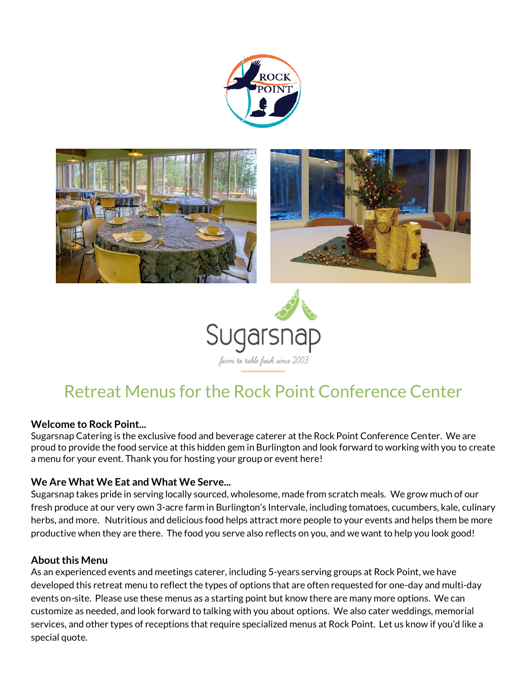





# Retreat Menus for the Rock Point Conference Center

### **Welcome to Rock Point...**

Sugarsnap Catering is the exclusive food and beverage caterer at the Rock Point Conference Center. We are proud to provide the food service at this hidden gem in Burlington and look forward to working with you to create a menu for your event. Thank you for hosting your group or event here!

### **We Are What We Eat and What We Serve...**

Sugarsnap takes pride in serving locally sourced, wholesome, made from scratch meals. We grow much of our fresh produce at our very own 3-acre farm in Burlington's Intervale, including tomatoes, cucumbers, kale, culinary herbs, and more. Nutritious and delicious food helps attract more people to your events and helps them be more productive when they are there. The food you serve also reflects on you, and we want to help you look good!

#### **About this Menu**

As an experienced events and meetings caterer, including 5-years serving groups at Rock Point, we have developed this retreat menu to reflect the types of options that are often requested for one-day and multi-day events on-site. Please use these menus as a starting point but know there are many more options. We can customize as needed, and look forward to talking with you about options. We also cater weddings, memorial services, and other types of receptions that require specialized menus at Rock Point. Let us know if you'd like a special quote.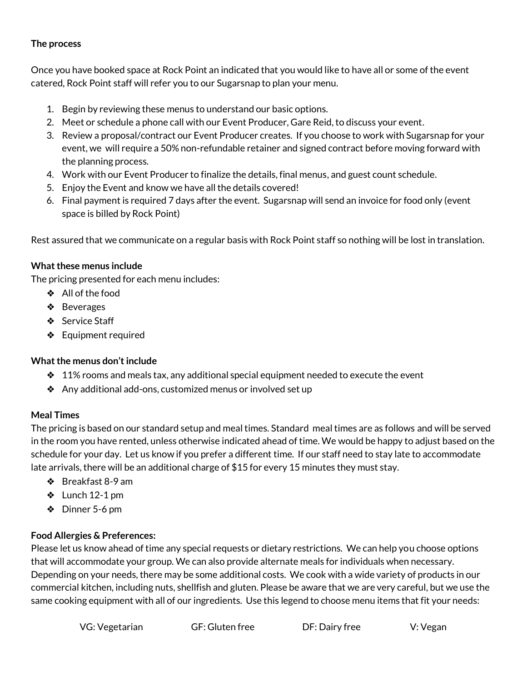## **The process**

Once you have booked space at Rock Point an indicated that you would like to have all or some of the event catered, Rock Point staff will refer you to our Sugarsnap to plan your menu.

- 1. Begin by reviewing these menus to understand our basic options.
- 2. Meet or schedule a phone call with our Event Producer, Gare Reid, to discuss your event.
- 3. Review a proposal/contract our Event Producer creates. If you choose to work with Sugarsnap for your event, we will require a 50% non-refundable retainer and signed contract before moving forward with the planning process.
- 4. Work with our Event Producer to finalize the details, final menus, and guest count schedule.
- 5. Enjoy the Event and know we have all the details covered!
- 6. Final payment is required 7 days after the event. Sugarsnap will send an invoice for food only (event space is billed by Rock Point)

Rest assured that we communicate on a regular basis with Rock Point staff so nothing will be lost in translation.

### **What these menus include**

The pricing presented for each menu includes:

- ❖ All of the food
- ❖ Beverages
- ❖ Service Staff
- ❖ Equipment required

### **What the menus don't include**

- $\div$  11% rooms and meals tax, any additional special equipment needed to execute the event
- ❖ Any additional add-ons, customized menus or involved set up

### **Meal Times**

The pricing is based on our standard setup and meal times. Standard meal times are as follows and will be served in the room you have rented, unless otherwise indicated ahead of time. We would be happy to adjust based on the schedule for your day. Let us know if you prefer a different time. If our staff need to stay late to accommodate late arrivals, there will be an additional charge of \$15 for every 15 minutes they must stay.

- ❖ Breakfast 8-9 am
- $\cdot$  Lunch 12-1 pm
- ❖ Dinner 5-6 pm

# **Food Allergies & Preferences:**

Please let us know ahead of time any special requests or dietary restrictions. We can help you choose options that will accommodate your group. We can also provide alternate meals for individuals when necessary. Depending on your needs, there may be some additional costs. We cook with a wide variety of products in our commercial kitchen, including nuts, shellfish and gluten. Please be aware that we are very careful, but we use the same cooking equipment with all of our ingredients. Use this legend to choose menu items that fit your needs: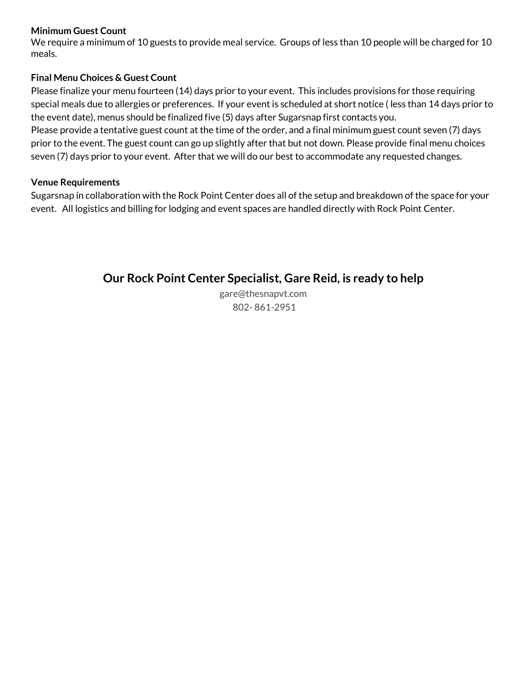#### **Minimum Guest Count**

We require a minimum of 10 guests to provide meal service. Groups of less than 10 people will be charged for 10 meals.

## **Final Menu Choices & Guest Count**

Please finalize your menu fourteen (14) days prior to your event. This includes provisions for those requiring special meals due to allergies or preferences. If your event is scheduled at short notice ( less than 14 days prior to the event date), menus should be finalized five (5) days after Sugarsnap first contacts you.

Please provide a tentative guest count at the time of the order, and a final minimum guest count seven (7) days prior to the event. The guest count can go up slightly after that but not down. Please provide final menu choices seven (7) days prior to your event. After that we will do our best to accommodate any requested changes.

### **Venue Requirements**

Sugarsnap in collaboration with the Rock Point Center does all of the setup and breakdown of the space for your event. All logistics and billing for lodging and event spaces are handled directly with Rock Point Center.

# **Our Rock Point Center Specialist, Gare Reid, is ready to help**

gare@thesnapvt.com 802- 861-2951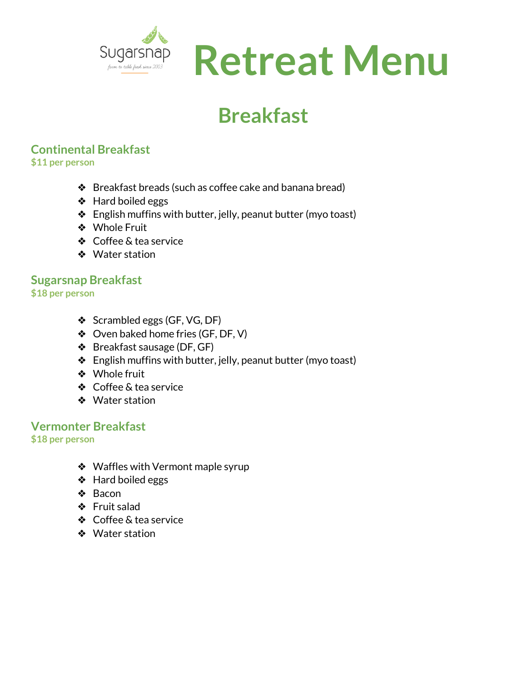

# **Breakfast**

# **Continental Breakfast**

**\$11 per person** 

- ❖ Breakfast breads (such as coffee cake and banana bread)
- ❖ Hard boiled eggs
- ❖ English muffins with butter, jelly, peanut butter (myo toast)
- ❖ Whole Fruit
- ❖ Coffee & tea service
- ❖ Water station

# **Sugarsnap Breakfast**

- **\$18 per person** 
	- ❖ Scrambled eggs (GF, VG, DF)
	- ❖ Oven baked home fries (GF, DF, V)
	- ❖ Breakfast sausage (DF, GF)
	- ❖ English muffins with butter, jelly, peanut butter (myo toast)
	- ❖ Whole fruit
	- ❖ Coffee & tea service
	- ❖ Water station

# **Vermonter Breakfast**

**\$18 per person** 

- ❖ Waffles with Vermont maple syrup
- ❖ Hard boiled eggs
- ❖ Bacon
- ❖ Fruit salad
- ❖ Coffee & tea service
- ❖ Water station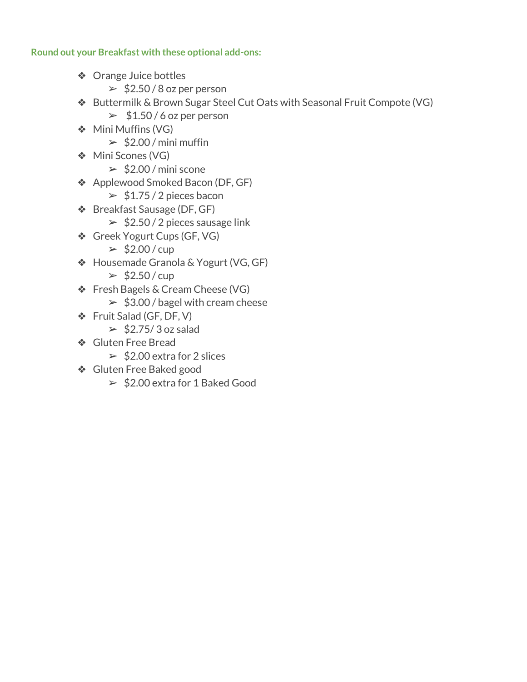# **Round out your Breakfast with these optional add-ons:**

- ❖ Orange Juice bottles
	- $\geq$  \$2.50 / 8 oz per person
- ❖ Buttermilk & Brown Sugar Steel Cut Oats with Seasonal Fruit Compote (VG)
	- $\geq 1.50 / 6$  oz per person
- ❖ Mini Muffins (VG)
	- $\geq 2.00$  / mini muffin
- ❖ Mini Scones (VG)
	- $\geq$  \$2.00 / mini scone
- ❖ Applewood Smoked Bacon (DF, GF)
	- $\geq 1.75/2$  pieces bacon
- ❖ Breakfast Sausage (DF, GF)
	- $\geq$  \$2.50 / 2 pieces sausage link
- ❖ Greek Yogurt Cups (GF, VG)
	- $>$ \$2.00/cup
- ❖ Housemade Granola & Yogurt (VG, GF)
	- $>$ \$2.50/cup
- ❖ Fresh Bagels & Cream Cheese (VG)
	- $\geq$  \$3.00 / bagel with cream cheese
- ❖ Fruit Salad (GF, DF, V)
	- $\geq$  \$2.75/3 oz salad
- ❖ Gluten Free Bread
	- $\geq 2.00$  extra for 2 slices
- ❖ Gluten Free Baked good
	- $\geq$  \$2.00 extra for 1 Baked Good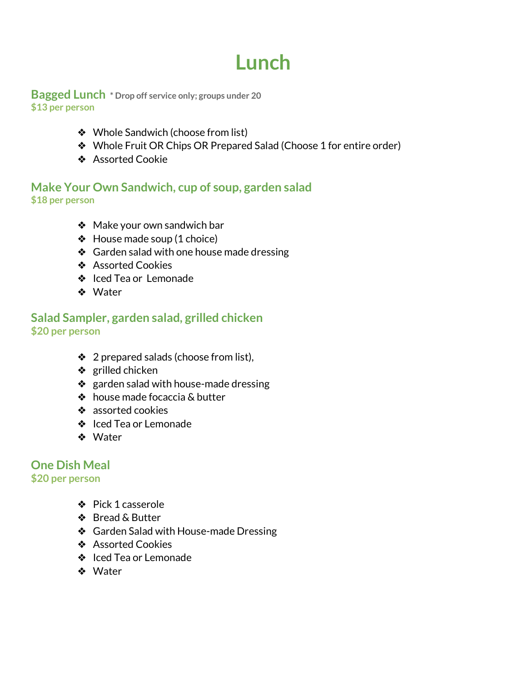# **Lunch**

**Bagged Lunch \* Drop off service only; groups under 20 \$13 per person**

- ❖ Whole Sandwich (choose from list)
- ❖ Whole Fruit OR Chips OR Prepared Salad (Choose 1 for entire order)
- ❖ Assorted Cookie

# **Make Your Own Sandwich, cup of soup, garden salad \$18 per person**

- ❖ Make your own sandwich bar
- ❖ House made soup (1 choice)
- ❖ Garden salad with one house made dressing
- ❖ Assorted Cookies
- ❖ Iced Tea or Lemonade
- ❖ Water

# **Salad Sampler, garden salad, grilled chicken \$20 per person**

- ❖ 2 prepared salads (choose from list),
- ❖ grilled chicken
- ❖ garden salad with house-made dressing
- ❖ house made focaccia & butter
- ❖ assorted cookies
- ❖ Iced Tea or Lemonade
- ❖ Water

# **One Dish Meal**

# **\$20 per person**

- ❖ Pick 1 casserole
- ❖ Bread & Butter
- ❖ Garden Salad with House-made Dressing
- ❖ Assorted Cookies
- ❖ Iced Tea or Lemonade
- ❖ Water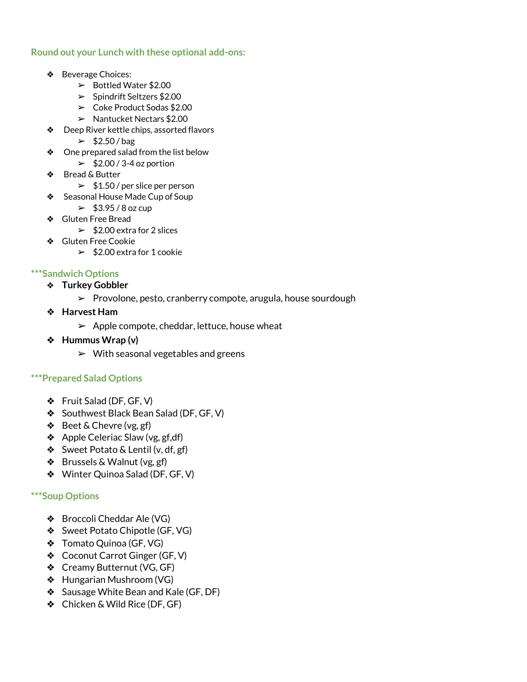#### **Round out your Lunch with these optional add-ons:**

- ❖ Beverage Choices:
	- ➢ Bottled Water \$2.00
	- ➢ Spindrift Seltzers \$2.00
	- $\geq$  Coke Product Sodas \$2.00
	- ➢ Nantucket Nectars \$2.00
- ❖ Deep River kettle chips, assorted flavors
	- $\geq$  \$2.50/bag
- ❖ One prepared salad from the list below
	- $\geq$  \$2.00 / 3-4 oz portion
- ❖ Bread & Butter
	- $\geq 1.50$  / per slice per person
- ❖ Seasonal House Made Cup of Soup
	- $\geq 43.95 / 8$  oz cup
- ❖ Gluten Free Bread
	- $\geq 2.00$  extra for 2 slices
- ❖ Gluten Free Cookie
	- $\geq$  \$2.00 extra for 1 cookie

#### **\*\*\*Sandwich Options**

- ❖ **Turkey Gobbler**
	- ➢ Provolone, pesto, cranberry compote, arugula, house sourdough
- ❖ **Harvest Ham**
	- $\blacktriangleright$  Apple compote, cheddar, lettuce, house wheat
- ❖ **Hummus Wrap (v)**
	- $\triangleright$  With seasonal vegetables and greens

#### **\*\*\*Prepared Salad Options**

- ❖ Fruit Salad (DF, GF, V)
- ❖ Southwest Black Bean Salad (DF, GF, V)
- ❖ Beet & Chevre (vg, gf)
- ❖ Apple Celeriac Slaw (vg, gf,df)
- ❖ Sweet Potato & Lentil (v, df, gf)
- ❖ Brussels & Walnut (vg, gf)
- ❖ Winter Quinoa Salad (DF, GF, V)

#### **\*\*\*Soup Options**

- ❖ Broccoli Cheddar Ale (VG)
- ❖ Sweet Potato Chipotle (GF, VG)
- ❖ Tomato Quinoa (GF, VG)
- ❖ Coconut Carrot Ginger (GF, V)
- ❖ Creamy Butternut (VG, GF)
- ❖ Hungarian Mushroom (VG)
- ❖ Sausage White Bean and Kale (GF, DF)
- ❖ Chicken & Wild Rice (DF, GF)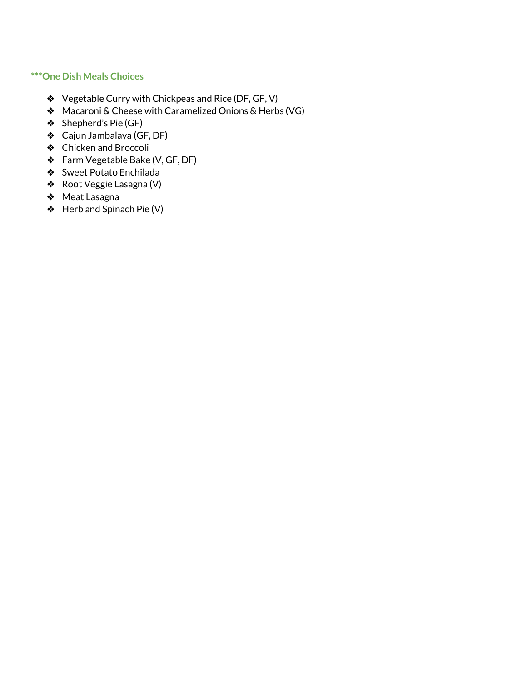#### **\*\*\*One Dish Meals Choices**

- ❖ Vegetable Curry with Chickpeas and Rice (DF, GF, V)
- ❖ Macaroni & Cheese with Caramelized Onions & Herbs (VG)
- ❖ Shepherd's Pie (GF)
- ❖ Cajun Jambalaya (GF, DF)
- ❖ Chicken and Broccoli
- ❖ Farm Vegetable Bake (V, GF, DF)
- ❖ Sweet Potato Enchilada
- ❖ Root Veggie Lasagna (V)
- ❖ Meat Lasagna
- ❖ Herb and Spinach Pie (V)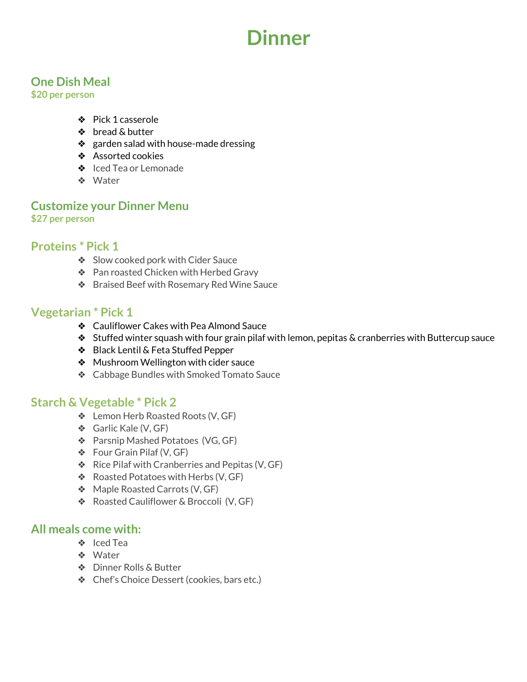# **Dinner**

# **One Dish Meal**

**\$20 per person**

- ❖ Pick 1 casserole
- ❖ bread & butter
- ❖ garden salad with house-made dressing
- ❖ Assorted cookies
- ❖ Iced Tea or Lemonade
- ❖ Water

# **Customize your Dinner Menu \$27 per person**

# **Proteins \* Pick 1**

- ❖ Slow cooked pork with Cider Sauce
- ❖ Pan roasted Chicken with Herbed Gravy
- ❖ Braised Beef with Rosemary Red Wine Sauce

# **Vegetarian \* Pick 1**

- ❖ Cauliflower Cakes with Pea Almond Sauce
- $\triangle$  Stuffed winter squash with four grain pilaf with lemon, pepitas & cranberries with Buttercup sauce
- ❖ Black Lentil & Feta Stuffed Pepper
- ❖ Mushroom Wellington with cider sauce
- ❖ Cabbage Bundles with Smoked Tomato Sauce

# **Starch & Vegetable \* Pick 2**

- ❖ Lemon Herb Roasted Roots (V, GF)
- ❖ Garlic Kale (V, GF)
- ❖ Parsnip Mashed Potatoes (VG, GF)
- ❖ Four Grain Pilaf (V, GF)
- ❖ Rice Pilaf with Cranberries and Pepitas (V, GF)
- ❖ Roasted Potatoes with Herbs (V, GF)
- ❖ Maple Roasted Carrots (V, GF)
- ❖ Roasted Cauliflower & Broccoli (V, GF)

# **All meals come with:**

- ❖ Iced Tea
- ❖ Water
- ❖ Dinner Rolls & Butter
- ❖ Chef's Choice Dessert (cookies, bars etc.)